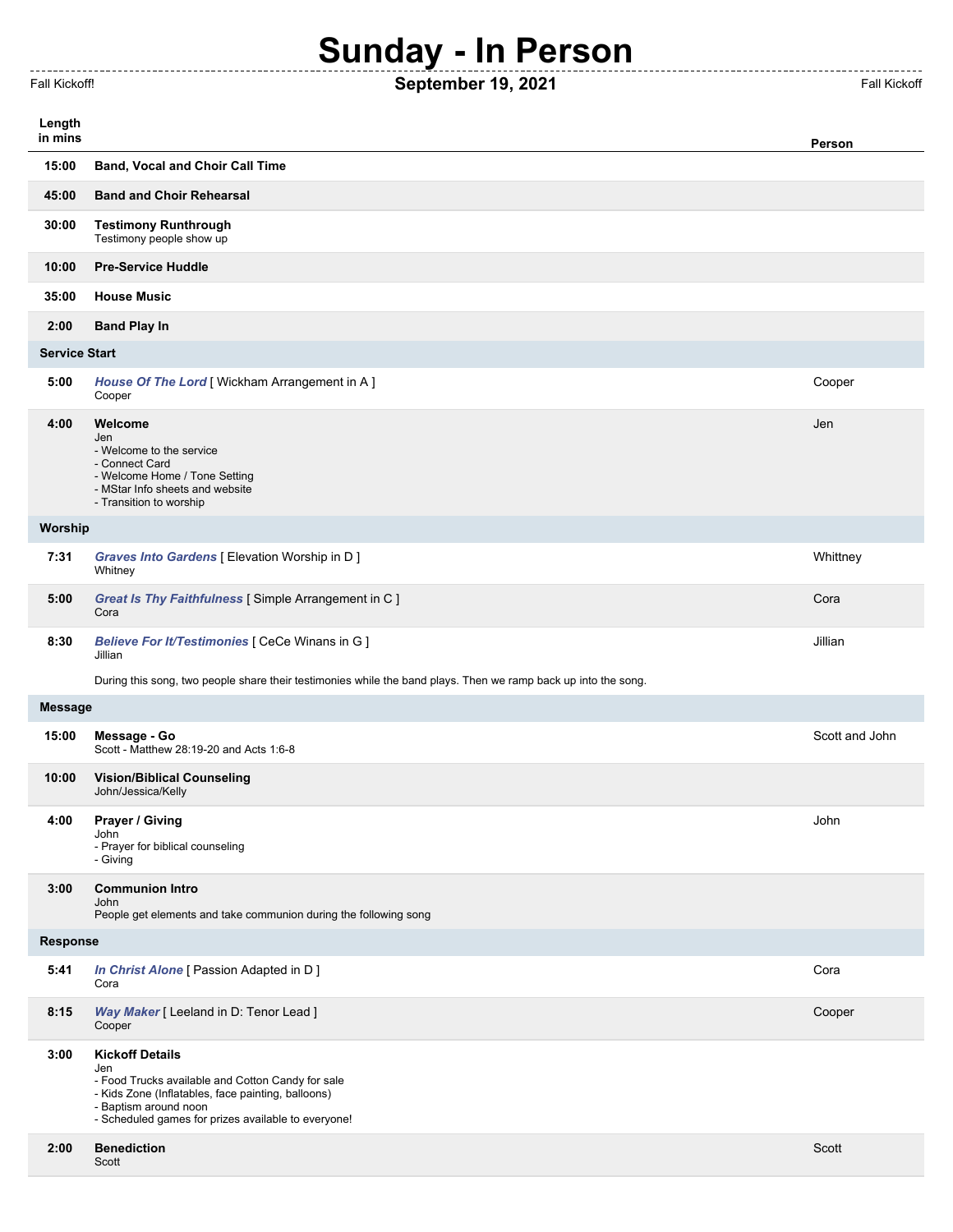## **Sunday - In Person**

------------

----------

## Fall Kickoff! **September 19, 2021** Fall Kickoff

-----------

-------------------

| Length               |                                                                                                                                                                                                                          |                |  |
|----------------------|--------------------------------------------------------------------------------------------------------------------------------------------------------------------------------------------------------------------------|----------------|--|
| in mins              |                                                                                                                                                                                                                          | Person         |  |
| 15:00                | <b>Band, Vocal and Choir Call Time</b>                                                                                                                                                                                   |                |  |
| 45:00                | <b>Band and Choir Rehearsal</b>                                                                                                                                                                                          |                |  |
| 30:00                | <b>Testimony Runthrough</b><br>Testimony people show up                                                                                                                                                                  |                |  |
| 10:00                | <b>Pre-Service Huddle</b>                                                                                                                                                                                                |                |  |
| 35:00                | <b>House Music</b>                                                                                                                                                                                                       |                |  |
| 2:00                 | <b>Band Play In</b>                                                                                                                                                                                                      |                |  |
| <b>Service Start</b> |                                                                                                                                                                                                                          |                |  |
| 5:00                 | House Of The Lord [ Wickham Arrangement in A ]<br>Cooper                                                                                                                                                                 | Cooper         |  |
| 4:00                 | Welcome<br>Jen<br>- Welcome to the service<br>- Connect Card<br>- Welcome Home / Tone Setting<br>- MStar Info sheets and website<br>- Transition to worship                                                              | Jen            |  |
| Worship              |                                                                                                                                                                                                                          |                |  |
| 7:31                 | Graves Into Gardens [ Elevation Worship in D ]<br>Whitney                                                                                                                                                                | Whittney       |  |
| 5:00                 | Great Is Thy Faithfulness [Simple Arrangement in C]<br>Cora                                                                                                                                                              | Cora           |  |
| 8:30                 | Believe For It/Testimonies [ CeCe Winans in G ]<br>Jillian                                                                                                                                                               | Jillian        |  |
|                      | During this song, two people share their testimonies while the band plays. Then we ramp back up into the song.                                                                                                           |                |  |
| <b>Message</b>       |                                                                                                                                                                                                                          |                |  |
| 15:00                | Message - Go<br>Scott - Matthew 28:19-20 and Acts 1:6-8                                                                                                                                                                  | Scott and John |  |
| 10:00                | <b>Vision/Biblical Counseling</b><br>John/Jessica/Kelly                                                                                                                                                                  |                |  |
| 4:00                 | Prayer / Giving<br>John<br>- Prayer for biblical counseling<br>- Giving                                                                                                                                                  | John           |  |
| 3:00                 | <b>Communion Intro</b><br>John<br>People get elements and take communion during the following song                                                                                                                       |                |  |
| Response             |                                                                                                                                                                                                                          |                |  |
| 5:41                 | In Christ Alone [ Passion Adapted in D ]<br>Cora                                                                                                                                                                         | Cora           |  |
| 8:15                 | Way Maker [ Leeland in D: Tenor Lead ]<br>Cooper                                                                                                                                                                         | Cooper         |  |
| 3:00                 | <b>Kickoff Details</b><br>Jen<br>- Food Trucks available and Cotton Candy for sale<br>- Kids Zone (Inflatables, face painting, balloons)<br>- Baptism around noon<br>- Scheduled games for prizes available to everyone! |                |  |
| 2:00                 | <b>Benediction</b><br>Scott                                                                                                                                                                                              | Scott          |  |